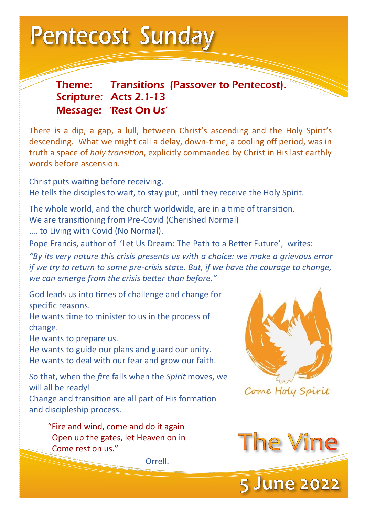**Pentecost Sunday** 

Theme: Transitions (Passover to Pentecost). Scripture: Acts 2.1-13 Message: 'Rest On Us'

There is a dip, a gap, a lull, between Christ's ascending and the Holy Spirit's descending. What we might call a delay, down-time, a cooling off period, was in truth a space of *holy transition*, explicitly commanded by Christ in His last earthly words before ascension.

Christ puts waiting before receiving. He tells the disciples to wait, to stay put, until they receive the Holy Spirit.

The whole world, and the church worldwide, are in a time of transition. We are transitioning from Pre-Covid (Cherished Normal) …. to Living with Covid (No Normal).

Pope Francis, author of 'Let Us Dream: The Path to a Better Future', writes:

*"By its very nature this crisis presents us with a choice: we make a grievous error if we try to return to some pre-crisis state. But, if we have the courage to change, we can emerge from the crisis better than before."* 

God leads us into times of challenge and change for specific reasons.

He wants time to minister to us in the process of change.

He wants to prepare us.

He wants to guide our plans and guard our unity. He wants to deal with our fear and grow our faith.

So that, when the *fire* falls when the *Spirit* moves, we will all be ready!

Change and transition are all part of His formation and discipleship process.

 "Fire and wind, come and do it again Open up the gates, let Heaven on in Come rest on us."

Orrell.





**5 June 2022**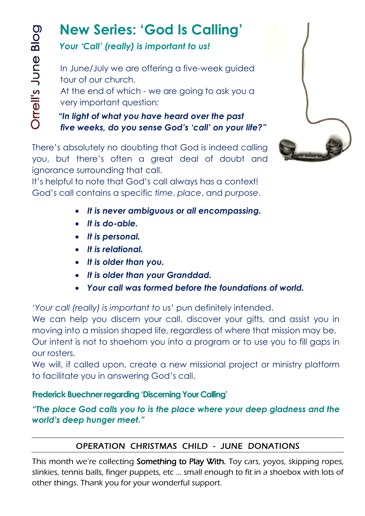# **New Series: 'God Is Calling'**

# *Your 'Call' (really) is important to us!*

 In June/July we are offering a five-week guided tour of our church.

 At the end of which - we are going to ask you a very important question*:*

 *"In light of what you have heard over the past five weeks, do you sense God's 'call' on your life?"*

There's absolutely no doubting that God is indeed calling you, but there's often a great deal of doubt and ignorance surrounding that call.

It's helpful to note that God's call always has a context! God's call contains a specific *time*, *place*, and *purpose*.

- *It is never ambiguous or all encompassing.*
- *It is do-able.*
- *It is personal.*
- *It is relational.*
- *It is older than you.*
- *It is older than your Granddad.*
- *Your call was formed before the foundations of world.*

*'Your call (really) is important to us'* pun definitely intended.

We can help you discern your call, discover your gifts, and assist you in moving into a mission shaped life, regardless of where that mission may be. Our intent is not to shoehorn you into a program or to use you to fill gaps in our rosters.

We will, if called upon, create a new missional project or ministry platform to facilitate you in answering God's call.

## **Frederick Buechner regarding 'Discerning Your Calling'**

*"The place God calls you to is the place where your deep gladness and the world's deep hunger meet."*

# OPERATION CHRISTMAS CHILD - JUNE DONATIONS

This month we're collecting **Something to Play With.** Toy cars, yoyos, skipping ropes, slinkies, tennis balls, finger puppets, etc … small enough to fit in a shoebox with lots of other things. Thank you for your wonderful support.

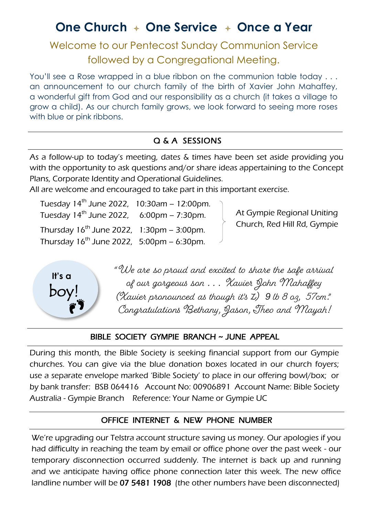# **One Church One Service Once a Year**

Welcome to our Pentecost Sunday Communion Service followed by a Congregational Meeting.

You'll see a Rose wrapped in a blue ribbon on the communion table today . . . an announcement to our church family of the birth of Xavier John Mahaffey, a wonderful gift from God and our responsibility as a church (it takes a village to grow a child). As our church family grows, we look forward to seeing more roses with blue or pink ribbons.

## Q & A SESSIONS

As a follow-up to today's meeting, dates & times have been set aside providing you with the opportunity to ask questions and/or share ideas appertaining to the Concept Plans, Corporate Identity and Operational Guidelines.

All are welcome and encouraged to take part in this important exercise.

Tuesday  $14^{th}$  June 2022,  $10:30$ am – 12:00pm. Tuesday  $14^{th}$  June 2022, 6:00pm – 7:30pm. Thursday  $16^{th}$  June 2022,  $1:30 \text{pm} - 3:00 \text{pm}$ . Thursday  $16^{th}$  June 2022,  $5:00$ pm – 6:30pm.

At Gympie Regional Uniting Church, Red Hill Rd, Gympie



"We are so proud and excited to share the safe arrival of our gorgeous son . . . Xavier John Mahaffey (Xavier pronounced as though it's Z) *9* lb 8 oz, 57cm." Congratulations Bethany, Jason, Theo and Mayah!

#### BIBLE SOCIETY GYMPIE BRANCH ~ JUNE APPEAL

During this month, the Bible Society is seeking financial support from our Gympie churches. You can give via the blue donation boxes located in our church foyers; use a separate envelope marked 'Bible Society' to place in our offering bowl/box; or by bank transfer: BSB 064416 Account No: 00906891 Account Name: Bible Society Australia - Gympie Branch Reference: Your Name or Gympie UC

#### OFFICE INTERNET & NEW PHONE NUMBER

We're upgrading our Telstra account structure saving us money. Our apologies if you had difficulty in reaching the team by email or office phone over the past week - our temporary disconnection occurred suddenly. The internet is back up and running and we anticipate having office phone connection later this week. The new office landline number will be 07 5481 1908 (the other numbers have been disconnected)